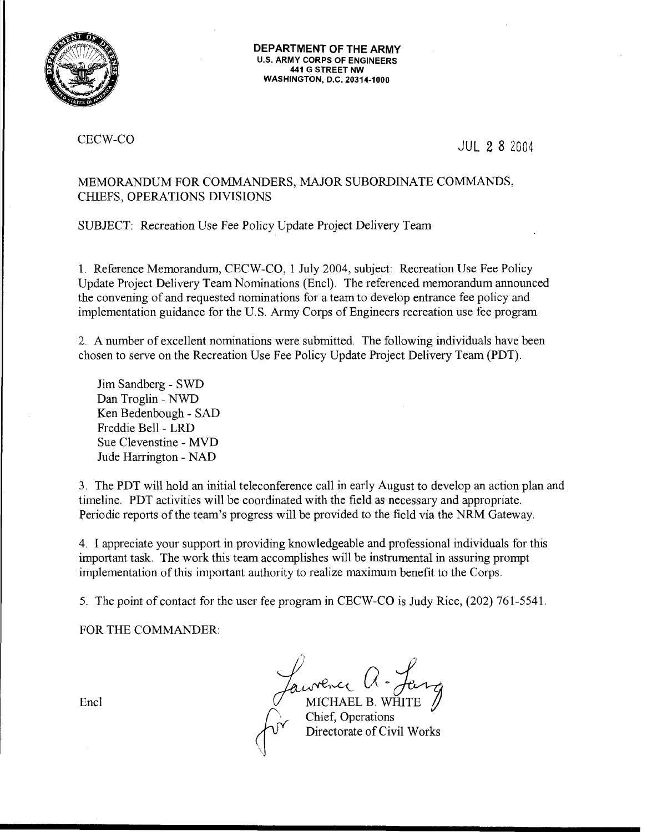

**DEPARTMENT OF THE ARMY**  U.S. ARMY CORPS OF ENGINEERS 441 G STREET NW WASHINGTON, D.C. 20314-1000

## CECW-CO

JUL 2 8 2004

# MEMORANDUM FOR COMMANDERS, MAJOR SUBORDINATE COMMANDS, CHIEFS, OPERATIONS DIVISIONS

SUBJECT: Recreation Use Fee Policy Update Project Delivery Team

1. Reference Memorandum, CECW-CO, 1 July 2004, subject: Recreation Use Fee Policy Update Project Delivery Team Nominations (Encl). The referenced memorandum announced the convening of and requested nominations for a team to develop entrance fee policy and implementation guidance for the U.S. Army Corps of Engineers recreation use fee program.

2. A number of excellent nominations were submitted. The following individuals have been chosen to serve on the Recreation Use Fee Policy Update Project Delivery Team (PDT).

Jim Sandberg - SWD Dan Troglin - NWD Ken Bedenbaugh - SAD Freddie Bell- LRD Sue Clevenstine - MVD Jude Harrington - NAD

3. The PDT will hold an initial teleconference call in early August to develop an action plan and timeline. PDT activities will be coordinated with the field as necessary and appropriate. Periodic reports of the team's progress will be provided to the field via the NRM Gateway.

4. I appreciate your support in providing knowledgeable and professional individuals for this important task. The work this team accomplishes will be instrumental in assuring prompt implementation of this important authority to realize maximum benefit to the Corps.

5. The point of contact for the user fee program in CECW-CO is Judy Rice, (202) 761-5541.

FOR THE COMMANDER:

*Jaw*ence U - *Jen-*<br>MICHAEL B. WHITE<br>Chief, Operations (Directorate of Civil Works)

Encl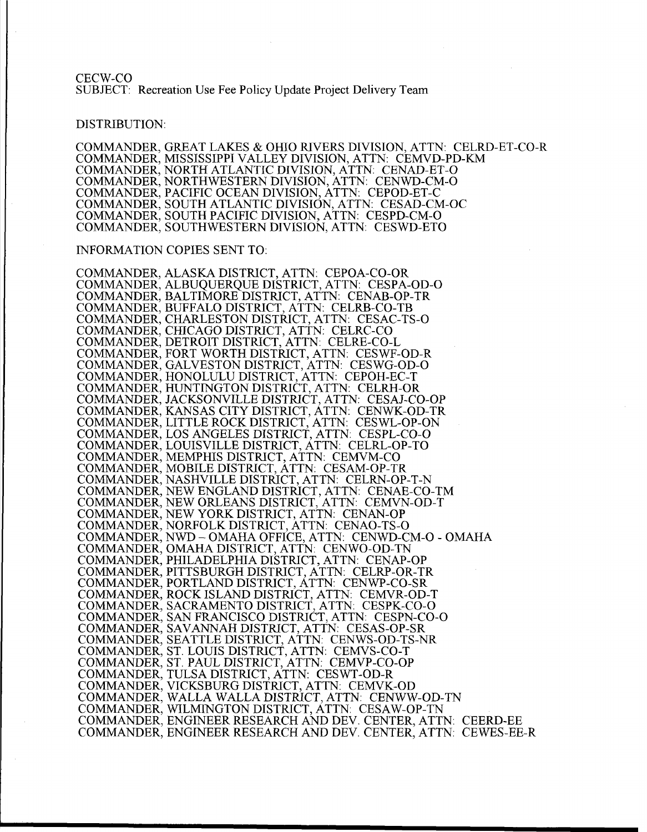CECW-CO SUBJECT: Recreation Use Fee Policy Update Project Delivery Team

#### DISTRIBUTION:

COMMANDER, GREAT LAKES & OHIO RIVERS DIVISION, ATTN: CELRD-ET-CO-R COMMANDER, MISSISSIPPI VALLEY DIVISION, ATTN: CEMVD-PD-KM COMMANDER, NORTH ATLANTIC DIVISION, ATTN: CENAD-ET-0 COMMANDER, NORTHWESTERN DIVISION, ATTN: CENWD-CM-0 COMMANDER, PACIFIC OCEAN DIVISION, ATTN: CEPOD-ET-C COMMANDER, SOUTH ATLANTIC DIVISION, ATTN: CESAD-CM-OC COMMANDER, SOUTH PACIFIC DIVISION, ATTN: CESPD-CM-0 COMMANDER, SOUTHWESTERN DIVISION, ATTN: CESWD-ETO

#### INFORMATION COPIES SENT TO:

COMMANDER, ALASKA DISTRICT, ATTN: CEPOA-CO-OR COMMANDER, ALBUQUERQUE DISTRICT, ATTN: CESPA-OD-0 COMMANDER, BALTIMORE DISTRICT, ATTN: CENAB-OP-TR COMMANDER, BUFFALO DISTRICT, ATTN: CELRB-CO-TB COMMANDER, CHARLESTON DISTRICT, ATTN: CESAC-TS-0 COMMANDER, CHICAGO DISTRICT, ATTN: CELRC-CO COMMANDER, DETROIT DISTRICT, ATTN: CELRE-CO-L COMMANDER, FORT WORTH DISTRICT, ATTN: CESWF-OD-R COMMANDER, GALVESTON DISTRICT, ATTN: CESWG-OD-0 COMMANDER, HONOLULU DISTRICT, ATTN: CEPOH-EC-T COMMANDER, HUNTINGTON DISTRICT, ATTN: CELRH-OR COMMANDER, JACKSONVILLE DISTRICT, ATTN: CESAJ-CO-OP COMMANDER, KANSAS CITY DISTRICT, ATTN: CENWK-OD-TR COMMANDER, LITTLE ROCK DISTRICT, ATTN: CESWL-OP-ON COMMANDER, LOS ANGELES DISTRICT, ATTN: CESPL-C0-0 COMMANDER, LOUISVILLE DISTRICT, ATTN: CELRL-OP-TO COMMANDER, MEMPHIS DISTRICT, ATTN: CEMVM-CO COMMANDER, MOBILE DISTRICT, ATTN: CESAM-OP-TR COMMANDER, NASHVILLE DISTRICT, ATTN: CELRN-OP-T-N COMMANDER, NEW ENGLAND DISTRICT, ATTN: CENAE-CO-TM COMMANDER, NEW ORLEANS DISTRICT, ATTN: CEMVN-OD-T COMMANDER, NEW YORK DISTRICT, ATTN: CENAN-OP COMMANDER, NORFOLK DISTRICT, ATTN: CENAO-TS-0 COMMANDER, NWD- OMAHA OFFICE, ATTN: CENWD-CM-0- OMAHA COMMANDER, OMAHA DISTRICT, ATTN: CENWO-OD-TN COMMANDER, PHILADELPHIA DISTRICT, ATTN: CENAP-OP COMMANDER, PITTSBURGH DISTRICT, ATTN: CELRP-OR-TR COMMANDER, PORTLAND DISTRICT, ATTN: CENWP-CO-SR COMMANDER, ROCK ISLAND DISTRICT, ATTN: CEMVR-OD-T COMMANDER, SACRAMENTO DISTRICT, ATTN: CESPK-C0-0 COMMANDER, SAN FRANCISCO DISTRICT, ATTN: CESPN-C0-0 COMMANDER, SAVANNAH DISTRICT, ATTN: CESAS-OP-SR COMMANDER, SEATTLE DISTRICT, ATTN: CENWS-OD-TS-NR COMMANDER, ST. LOUIS DISTRICT, ATTN: CEMVS-CO-T COMMANDER, ST. PAUL DISTRICT, ATTN: CEMVP-CO-OP COMMANDER, TULSA DISTRICT, ATTN: CESWT-OD-R COMMANDER, VICKSBURG DISTRICT, ATTN: CEMVK-OD COMMANDER, WALLA WALLA DISTRICT, ATTN: CENWW-OD-TN COMMANDER, WILMINGTON DISTRICT, ATTN: CESAW-OP-TN COMMANDER, ENGINEER RESEARCH AND DEV. CENTER, ATTN: CEERD-EE COMMANDER, ENGINEER RESEARCH AND DEV. CENTER, ATTN: CEWES-EE-R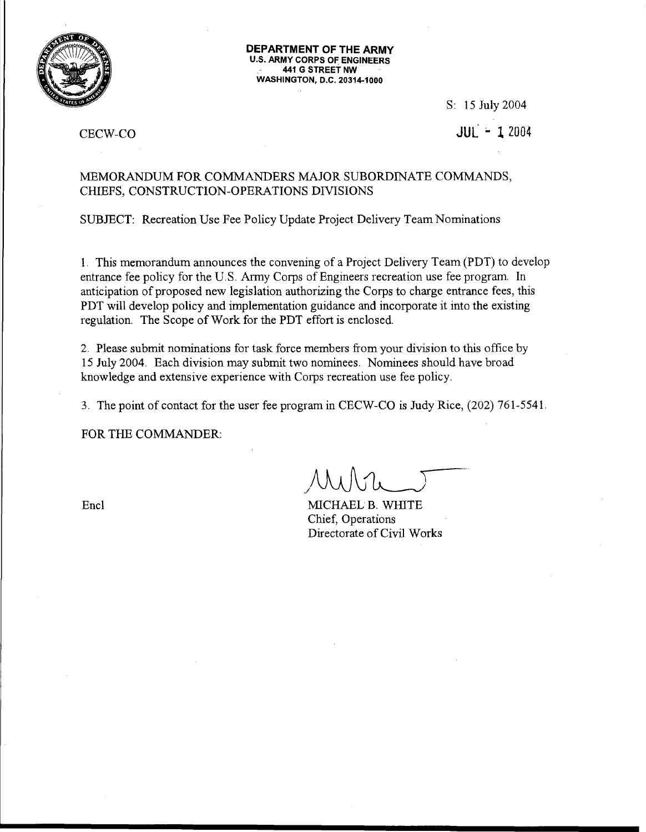

**DEPARTMENT OF THE ARMY**  U.S. ARMY CORPS OF ENGINEERS 441 G STREET NW WASHINGTON, D.C. 20314-1000

S: 15 July 2004

# JUL .. **l** 2004

## CECW-CO

## MEMORANDUM FOR COMMANDERS MAJOR SUBORDINATE COMMANDS, CHIEFS, CONSTRUCTION-OPERATIONS DIVISIONS

SUBJECT: Recreation Use Fee Policy Update Project Delivery Team Nominations

1. This memorandum announces the convening of a Project Delivery Team (PDT) to develop entrance fee policy for the U.S. Army Corps of Engineers recreation use fee program. In anticipation of proposed new legislation authorizing the Corps to charge entrance fees, this PDT will develop policy and implementation guidance and incorporate it into the existing regulation. The Scope of Work for the PDT effort is enclosed

2. Please submit nominations for task force members from your division to this office by 15 July 2004. Each division may submit two nominees. Nominees should have broad knowledge and extensive experience with Corps recreation use fee policy.

3. The point of contact for the user fee program in CECW-CO is Judy Rice, (202) 761-5541.

FOR THE COMMANDER:

Encl

MICHAEL B. WHITE Chief, Operations Directorate of Civil Works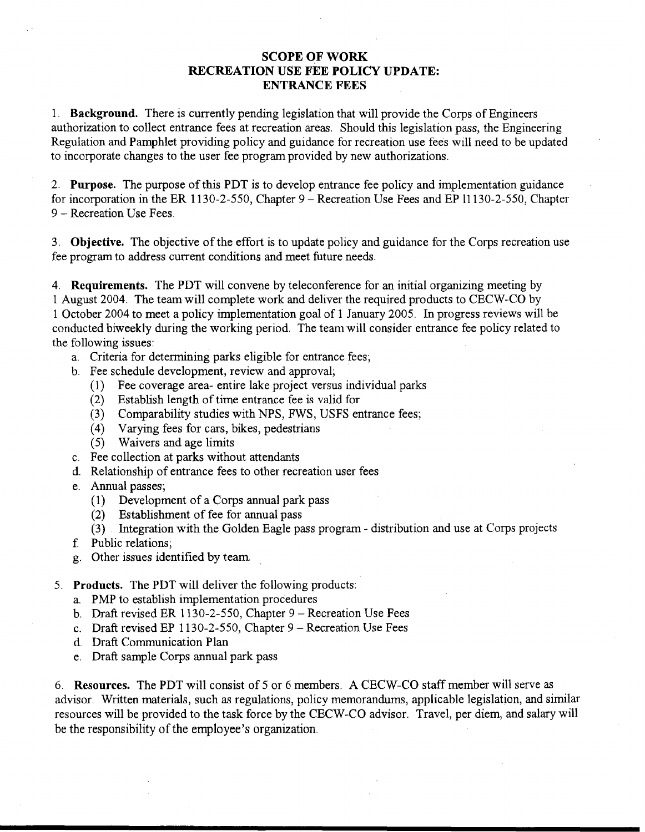## SCOPE OF WORK RECREATION USE FEE POLICY UPDATE: ENTRANCE FEES

1. Background. There is currently pending legislation that will provide the Corps of Engineers authorization to collect entrance fees at recreation areas. Should this legislation pass, the Engineering Regulation and Pamphlet providing policy and guidance for recreation use fees will need to be updated to incorporate changes to the user fee program provided by new authorizations.

2. Purpose. The purpose of this PDT is to develop entrance fee policy and implementation guidance for incorporation in the ER 1130-2-550, Chapter 9- Recreation Use Fees and EP 11130-2-550, Chapter 9- Recreation Use Fees.

3. Objective. The objective of the effort is to update policy and guidance for the Corps recreation use fee program to address current conditions and meet future needs.

4. Requirements. The PDT will convene by teleconference for an initial organizing meeting by 1 August 2004. The team will complete work and deliver the required products to CECW-CO by 1 October 2004 to meet a policy implementation goal of 1 January 2005. In progress reviews will be conducted biweekly during the working period. The team will consider entrance fee policy related to the following issues:

- a. Criteria for determining parks eligible for entrance fees;
- b. Fee schedule development, review and approval;
	- (1) Fee coverage area- entire lake project versus individual parks
	- (2) Establish length of time entrance fee is valid for
	- (3) Comparability studies with NPS, FWS, USPS entrance fees;
	- (4) Varying fees for cars, bikes, pedestrians
	- ( 5) Waivers and age limits
- c. Fee collection at parks without attendants
- d. Relationship of entrance fees to other recreation user fees
- e. Annual passes;
	- ( 1) Development of a Corps annual park pass
	- (2) Establishment of fee for annual pass
	- (3) Integration with the Golden Eagle pass program- distribution and use at Corps projects
- f. Public relations;
- g. Other issues identified by team.
- 5. Products. The PDT will deliver the following products:
	- a. PMP to establish implementation procedures
	- b. Draft revised ER 1130-2-550, Chapter 9- Recreation Use Fees
	- c. Draft revised EP 1130-2-550, Chapter 9- Recreation Use Fees
	- d. Draft Communication Plan
	- e. Draft sample Corps annual park pass

6. Resources. The PDT will consist of 5 or 6 members. A CECW-CO staff member will serve as advisor. Written materials, such as regulations, policy memorandums, applicable legislation, and similar resources will be provided to the task force by the CECW-CO advisor. Travel, per diem, and salary will be the responsibility of the employee's organization.